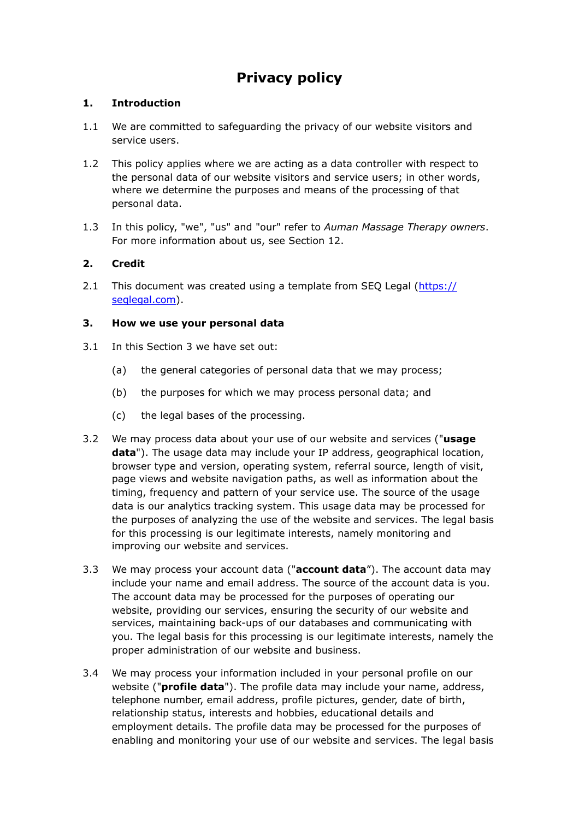# **Privacy policy**

## **1. Introduction**

- 1.1 We are committed to safeguarding the privacy of our website visitors and service users.
- 1.2 This policy applies where we are acting as a data controller with respect to the personal data of our website visitors and service users; in other words, where we determine the purposes and means of the processing of that personal data.
- 1.3 In this policy, "we", "us" and "our" refer to *Auman Massage Therapy owners*. For more information about us, see Section 12.

## **2. Credit**

2.1 This document was created using a template from SEQ Legal [\(https://](https://seqlegal.com) [seqlegal.com\)](https://seqlegal.com).

## **3. How we use your personal data**

- 3.1 In this Section 3 we have set out:
	- (a) the general categories of personal data that we may process;
	- (b) the purposes for which we may process personal data; and
	- (c) the legal bases of the processing.
- 3.2 We may process data about your use of our website and services ("**usage data**"). The usage data may include your IP address, geographical location, browser type and version, operating system, referral source, length of visit, page views and website navigation paths, as well as information about the timing, frequency and pattern of your service use. The source of the usage data is our analytics tracking system. This usage data may be processed for the purposes of analyzing the use of the website and services. The legal basis for this processing is our legitimate interests, namely monitoring and improving our website and services.
- 3.3 We may process your account data ("**account data**"). The account data may include your name and email address. The source of the account data is you. The account data may be processed for the purposes of operating our website, providing our services, ensuring the security of our website and services, maintaining back-ups of our databases and communicating with you. The legal basis for this processing is our legitimate interests, namely the proper administration of our website and business.
- 3.4 We may process your information included in your personal profile on our website ("**profile data**"). The profile data may include your name, address, telephone number, email address, profile pictures, gender, date of birth, relationship status, interests and hobbies, educational details and employment details. The profile data may be processed for the purposes of enabling and monitoring your use of our website and services. The legal basis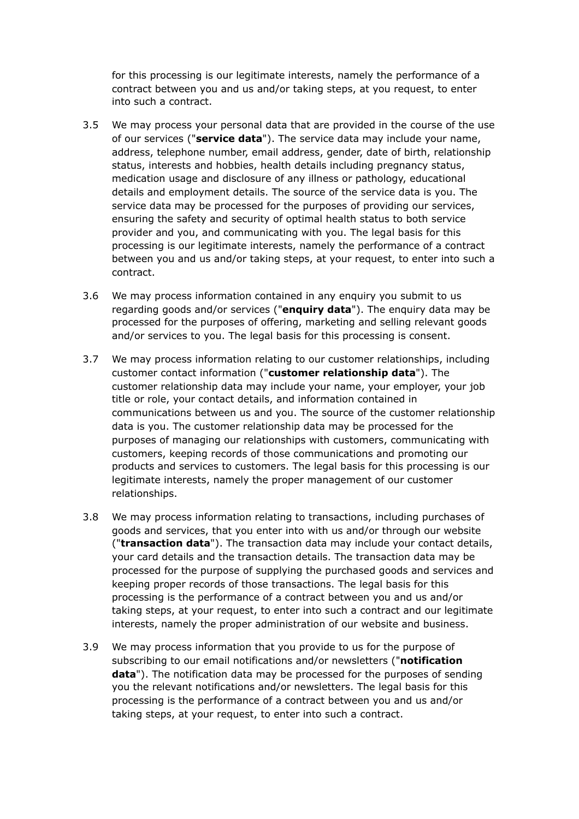for this processing is our legitimate interests, namely the performance of a contract between you and us and/or taking steps, at you request, to enter into such a contract.

- 3.5 We may process your personal data that are provided in the course of the use of our services ("**service data**"). The service data may include your name, address, telephone number, email address, gender, date of birth, relationship status, interests and hobbies, health details including pregnancy status, medication usage and disclosure of any illness or pathology, educational details and employment details. The source of the service data is you. The service data may be processed for the purposes of providing our services, ensuring the safety and security of optimal health status to both service provider and you, and communicating with you. The legal basis for this processing is our legitimate interests, namely the performance of a contract between you and us and/or taking steps, at your request, to enter into such a contract.
- 3.6 We may process information contained in any enquiry you submit to us regarding goods and/or services ("**enquiry data**"). The enquiry data may be processed for the purposes of offering, marketing and selling relevant goods and/or services to you. The legal basis for this processing is consent.
- 3.7 We may process information relating to our customer relationships, including customer contact information ("**customer relationship data**"). The customer relationship data may include your name, your employer, your job title or role, your contact details, and information contained in communications between us and you. The source of the customer relationship data is you. The customer relationship data may be processed for the purposes of managing our relationships with customers, communicating with customers, keeping records of those communications and promoting our products and services to customers. The legal basis for this processing is our legitimate interests, namely the proper management of our customer relationships.
- 3.8 We may process information relating to transactions, including purchases of goods and services, that you enter into with us and/or through our website ("**transaction data**"). The transaction data may include your contact details, your card details and the transaction details. The transaction data may be processed for the purpose of supplying the purchased goods and services and keeping proper records of those transactions. The legal basis for this processing is the performance of a contract between you and us and/or taking steps, at your request, to enter into such a contract and our legitimate interests, namely the proper administration of our website and business.
- 3.9 We may process information that you provide to us for the purpose of subscribing to our email notifications and/or newsletters ("**notification data**"). The notification data may be processed for the purposes of sending you the relevant notifications and/or newsletters. The legal basis for this processing is the performance of a contract between you and us and/or taking steps, at your request, to enter into such a contract.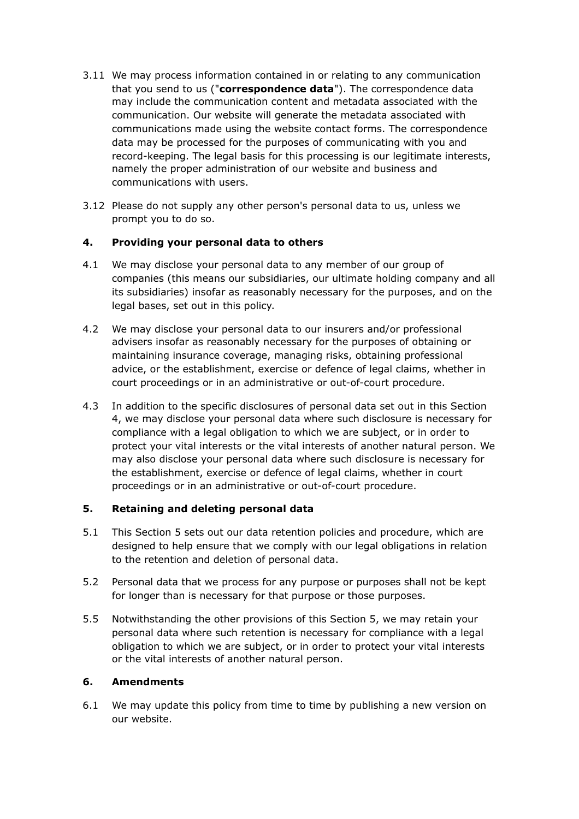- 3.11 We may process information contained in or relating to any communication that you send to us ("**correspondence data**"). The correspondence data may include the communication content and metadata associated with the communication. Our website will generate the metadata associated with communications made using the website contact forms. The correspondence data may be processed for the purposes of communicating with you and record-keeping. The legal basis for this processing is our legitimate interests, namely the proper administration of our website and business and communications with users.
- 3.12 Please do not supply any other person's personal data to us, unless we prompt you to do so.

## **4. Providing your personal data to others**

- 4.1 We may disclose your personal data to any member of our group of companies (this means our subsidiaries, our ultimate holding company and all its subsidiaries) insofar as reasonably necessary for the purposes, and on the legal bases, set out in this policy.
- 4.2 We may disclose your personal data to our insurers and/or professional advisers insofar as reasonably necessary for the purposes of obtaining or maintaining insurance coverage, managing risks, obtaining professional advice, or the establishment, exercise or defence of legal claims, whether in court proceedings or in an administrative or out-of-court procedure.
- 4.3 In addition to the specific disclosures of personal data set out in this Section 4, we may disclose your personal data where such disclosure is necessary for compliance with a legal obligation to which we are subject, or in order to protect your vital interests or the vital interests of another natural person. We may also disclose your personal data where such disclosure is necessary for the establishment, exercise or defence of legal claims, whether in court proceedings or in an administrative or out-of-court procedure.

## **5. Retaining and deleting personal data**

- 5.1 This Section 5 sets out our data retention policies and procedure, which are designed to help ensure that we comply with our legal obligations in relation to the retention and deletion of personal data.
- 5.2 Personal data that we process for any purpose or purposes shall not be kept for longer than is necessary for that purpose or those purposes.
- 5.5 Notwithstanding the other provisions of this Section 5, we may retain your personal data where such retention is necessary for compliance with a legal obligation to which we are subject, or in order to protect your vital interests or the vital interests of another natural person.

## **6. Amendments**

6.1 We may update this policy from time to time by publishing a new version on our website.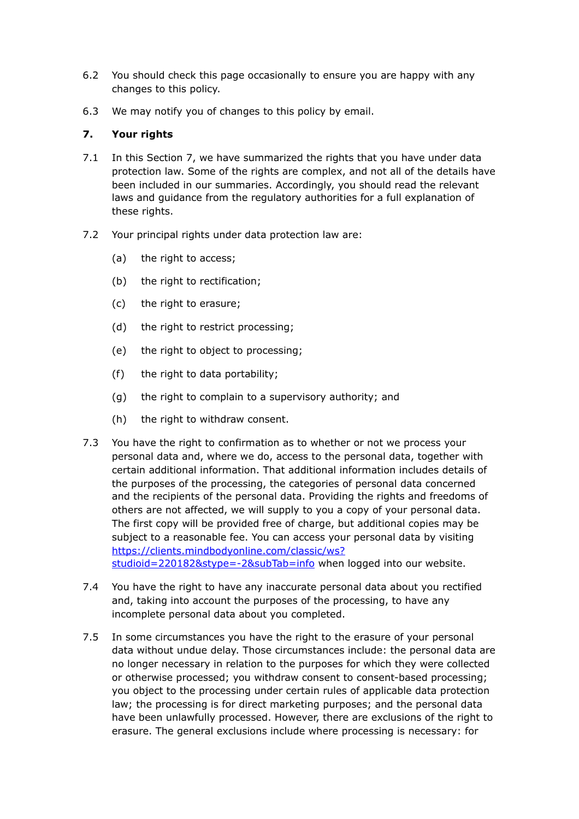- 6.2 You should check this page occasionally to ensure you are happy with any changes to this policy.
- 6.3 We may notify you of changes to this policy by email.

## **7. Your rights**

- 7.1 In this Section 7, we have summarized the rights that you have under data protection law. Some of the rights are complex, and not all of the details have been included in our summaries. Accordingly, you should read the relevant laws and guidance from the regulatory authorities for a full explanation of these rights.
- 7.2 Your principal rights under data protection law are:
	- (a) the right to access;
	- (b) the right to rectification;
	- (c) the right to erasure;
	- (d) the right to restrict processing;
	- (e) the right to object to processing;
	- (f) the right to data portability;
	- (g) the right to complain to a supervisory authority; and
	- (h) the right to withdraw consent.
- 7.3 You have the right to confirmation as to whether or not we process your personal data and, where we do, access to the personal data, together with certain additional information. That additional information includes details of the purposes of the processing, the categories of personal data concerned and the recipients of the personal data. Providing the rights and freedoms of others are not affected, we will supply to you a copy of your personal data. The first copy will be provided free of charge, but additional copies may be subject to a reasonable fee. You can access your personal data by visiting [https://clients.mindbodyonline.com/classic/ws?](https://clients.mindbodyonline.com/classic/ws?studioid=220182&stype=-2&subTab=info) [studioid=220182&stype=-2&subTab=info](https://clients.mindbodyonline.com/classic/ws?studioid=220182&stype=-2&subTab=info) when logged into our website.
- 7.4 You have the right to have any inaccurate personal data about you rectified and, taking into account the purposes of the processing, to have any incomplete personal data about you completed.
- 7.5 In some circumstances you have the right to the erasure of your personal data without undue delay. Those circumstances include: the personal data are no longer necessary in relation to the purposes for which they were collected or otherwise processed; you withdraw consent to consent-based processing; you object to the processing under certain rules of applicable data protection law; the processing is for direct marketing purposes; and the personal data have been unlawfully processed. However, there are exclusions of the right to erasure. The general exclusions include where processing is necessary: for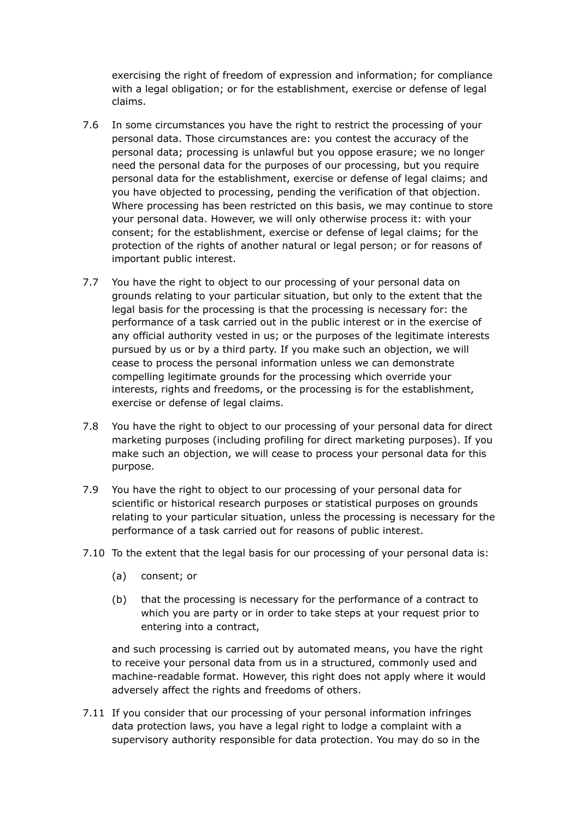exercising the right of freedom of expression and information; for compliance with a legal obligation; or for the establishment, exercise or defense of legal claims.

- 7.6 In some circumstances you have the right to restrict the processing of your personal data. Those circumstances are: you contest the accuracy of the personal data; processing is unlawful but you oppose erasure; we no longer need the personal data for the purposes of our processing, but you require personal data for the establishment, exercise or defense of legal claims; and you have objected to processing, pending the verification of that objection. Where processing has been restricted on this basis, we may continue to store your personal data. However, we will only otherwise process it: with your consent; for the establishment, exercise or defense of legal claims; for the protection of the rights of another natural or legal person; or for reasons of important public interest.
- 7.7 You have the right to object to our processing of your personal data on grounds relating to your particular situation, but only to the extent that the legal basis for the processing is that the processing is necessary for: the performance of a task carried out in the public interest or in the exercise of any official authority vested in us; or the purposes of the legitimate interests pursued by us or by a third party. If you make such an objection, we will cease to process the personal information unless we can demonstrate compelling legitimate grounds for the processing which override your interests, rights and freedoms, or the processing is for the establishment, exercise or defense of legal claims.
- 7.8 You have the right to object to our processing of your personal data for direct marketing purposes (including profiling for direct marketing purposes). If you make such an objection, we will cease to process your personal data for this purpose.
- 7.9 You have the right to object to our processing of your personal data for scientific or historical research purposes or statistical purposes on grounds relating to your particular situation, unless the processing is necessary for the performance of a task carried out for reasons of public interest.
- 7.10 To the extent that the legal basis for our processing of your personal data is:
	- (a) consent; or
	- (b) that the processing is necessary for the performance of a contract to which you are party or in order to take steps at your request prior to entering into a contract,

 and such processing is carried out by automated means, you have the right to receive your personal data from us in a structured, commonly used and machine-readable format. However, this right does not apply where it would adversely affect the rights and freedoms of others.

7.11 If you consider that our processing of your personal information infringes data protection laws, you have a legal right to lodge a complaint with a supervisory authority responsible for data protection. You may do so in the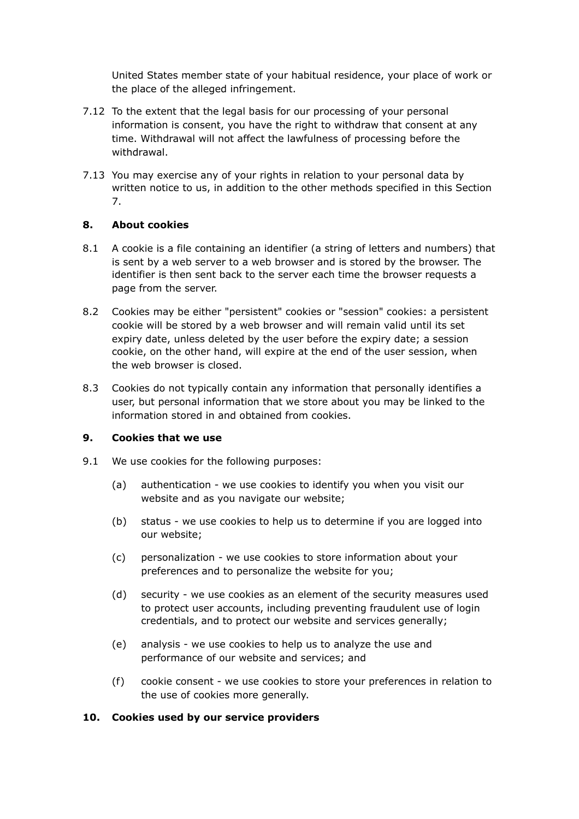United States member state of your habitual residence, your place of work or the place of the alleged infringement.

- 7.12 To the extent that the legal basis for our processing of your personal information is consent, you have the right to withdraw that consent at any time. Withdrawal will not affect the lawfulness of processing before the withdrawal.
- 7.13 You may exercise any of your rights in relation to your personal data by written notice to us, in addition to the other methods specified in this Section 7.

#### **8. About cookies**

- 8.1 A cookie is a file containing an identifier (a string of letters and numbers) that is sent by a web server to a web browser and is stored by the browser. The identifier is then sent back to the server each time the browser requests a page from the server.
- 8.2 Cookies may be either "persistent" cookies or "session" cookies: a persistent cookie will be stored by a web browser and will remain valid until its set expiry date, unless deleted by the user before the expiry date; a session cookie, on the other hand, will expire at the end of the user session, when the web browser is closed.
- 8.3 Cookies do not typically contain any information that personally identifies a user, but personal information that we store about you may be linked to the information stored in and obtained from cookies.

#### **9. Cookies that we use**

- 9.1 We use cookies for the following purposes:
	- (a) authentication we use cookies to identify you when you visit our website and as you navigate our website;
	- (b) status we use cookies to help us to determine if you are logged into our website;
	- (c) personalization we use cookies to store information about your preferences and to personalize the website for you;
	- (d) security we use cookies as an element of the security measures used to protect user accounts, including preventing fraudulent use of login credentials, and to protect our website and services generally;
	- (e) analysis we use cookies to help us to analyze the use and performance of our website and services; and
	- (f) cookie consent we use cookies to store your preferences in relation to the use of cookies more generally.

#### **10. Cookies used by our service providers**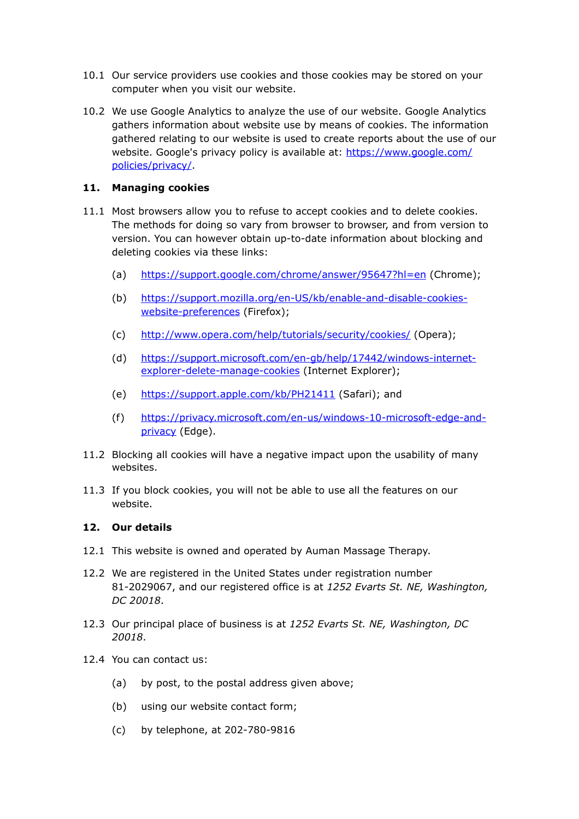- 10.1 Our service providers use cookies and those cookies may be stored on your computer when you visit our website.
- 10.2 We use Google Analytics to analyze the use of our website. Google Analytics gathers information about website use by means of cookies. The information gathered relating to our website is used to create reports about the use of our website. Google's privacy policy is available at: [https://www.google.com/](https://www.google.com/policies/privacy/) [policies/privacy/](https://www.google.com/policies/privacy/).

## **11. Managing cookies**

- 11.1 Most browsers allow you to refuse to accept cookies and to delete cookies. The methods for doing so vary from browser to browser, and from version to version. You can however obtain up-to-date information about blocking and deleting cookies via these links:
	- (a) <https://support.google.com/chrome/answer/95647?hl=en> (Chrome);
	- (b) [https://support.mozilla.org/en-US/kb/enable-and-disable-cookies](https://support.mozilla.org/en-US/kb/enable-and-disable-cookies-website-preferences)[website-preferences](https://support.mozilla.org/en-US/kb/enable-and-disable-cookies-website-preferences) (Firefox);
	- (c) <http://www.opera.com/help/tutorials/security/cookies/>(Opera);
	- (d) [https://support.microsoft.com/en-gb/help/17442/windows-internet](https://support.microsoft.com/en-gb/help/17442/windows-internet-explorer-delete-manage-cookies)[explorer-delete-manage-cookies](https://support.microsoft.com/en-gb/help/17442/windows-internet-explorer-delete-manage-cookies) (Internet Explorer);
	- (e) <https://support.apple.com/kb/PH21411>(Safari); and
	- (f) [https://privacy.microsoft.com/en-us/windows-10-microsoft-edge-and](https://privacy.microsoft.com/en-us/windows-10-microsoft-edge-and-privacy)[privacy](https://privacy.microsoft.com/en-us/windows-10-microsoft-edge-and-privacy) (Edge).
- 11.2 Blocking all cookies will have a negative impact upon the usability of many websites.
- 11.3 If you block cookies, you will not be able to use all the features on our website.

#### **12. Our details**

- 12.1 This website is owned and operated by Auman Massage Therapy.
- 12.2 We are registered in the United States under registration number 81-2029067, and our registered office is at *1252 Evarts St. NE, Washington, DC 20018*.
- 12.3 Our principal place of business is at *1252 Evarts St. NE, Washington, DC 20018*.
- 12.4 You can contact us:
	- (a) by post, to the postal address given above;
	- (b) using our website contact form;
	- (c) by telephone, at 202-780-9816